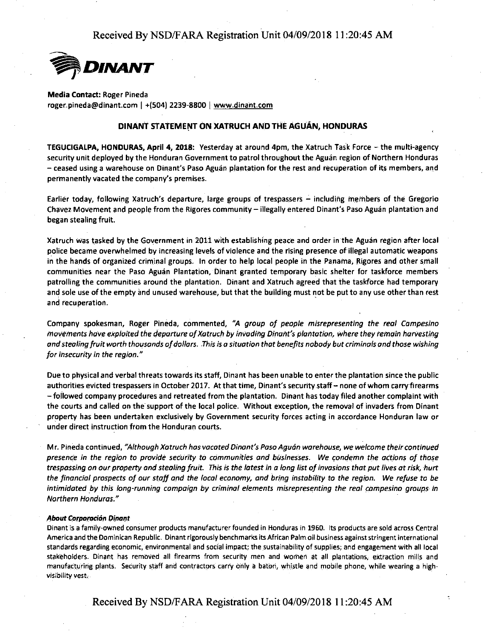

**Media Contact:** Roger Pineda roger.pineda@dinant.com | +(504) 2239-8800 | www.dinant.com

### **DINANT STATEMENT ON XATRUCH AND THE AGUAN, HONDURAS**

**TEGUCIGALPA, HONDURAS, April 4, 2018:** Yesterday at around 4pm, the Xatruch Task Force - the multi-agency security unit deployed by the Honduran Government to patrol throughout the Aguan region of Northern Honduras - ceased using a warehouse on Dinant's Paso Aguan plantation for the rest and recuperation of its members, and permanently vacated the company's premises.

Earlier today, following Xatruch's departure, large groups of trespassers - including members of the Gregorio Chavez Movement and people from the Rigores community - illegally entered Dinant's Paso Aguan plantation and began stealing fruit.

Xatruch was tasked by the Government in 2011 with establishing peace and order in the Aguan region after local police became overwhelmed by increasing levels of violence and the rising presence of illegal automatic weapons in the hands of organized criminal groups. In order to help local people in the Panama, Rigores and other small communities near the Paso Aguan Plantation, Dinant granted temporary basic shelter for taskforce members patrolling the communities around the plantation. Dinant and Xatruch agreed that the taskforce had temporary and sole use of the empty and unused warehouse, but that the building must not be put to any use other than rest and recuperation.

Company spokesman, Roger Pineda, commented, *"A group of people misrepresenting the real Campesino movements have exploited the departure of Xatruch by invading Dina/It's plantation, where they remain harvesting and stealing fruit worth thousands of dollars .. This is a situation that benefits nobody but criminals and those wishing for insecurity in the region."* 

Due to physical and verbal threats towards its staff, Dinant has been unable to enter the plantation since the public authorities evicted trespassers in October 2017. At that time, Dinant's security staff - none of whom carry firearms -followed company procedures and retreated from the plantation. Dinant has today filed another.complaint with the courts and called on the support of the local police. Without exception, the removal of invaders from Dinant property has been undertaken exclusively by Government security forces acting in accordance Honduran law or under direct instruction from the Honduran courts.

Mr. Pineda continued, "Although Xatruch has vacated Dinant's Paso Aguán warehouse, we welcome their continued *presence in the region to provide security to communities and businesses. We condemn the actions of those trespassing on our property and stealing fruit. This is the latest in a long list of invasions that put lives at risk, hurt the financial prospects of our staff and the local economy, and bring instability to the region. We refuse* to *be intimidated by this long-running campaign by criminal elements misrepresenting the real campesino groups in Northern Honduras."* 

#### **About Corporación Dinant**

Dinant is a family-owned consumer products manufacturer founded in Honduras in 1960. Its products are sold across Central **America and the Dominican Republic. Dinant rigorously benchmarks its African Palm oil business against stringent international**  standards regarding economic, environmental and social impact; the sustainability of supplies; and engagement with all local stakeholders. Dinant has removed all firearms from security men and women at all plantations, extraction mills and manufacturing plants. Security staff and contractors carry only a baton, whistle and mobile phone, while wearing a high**visibility vest\_.-**

Received By NSD/FARA Registration Unit 04/09/2018 11:20:45 AM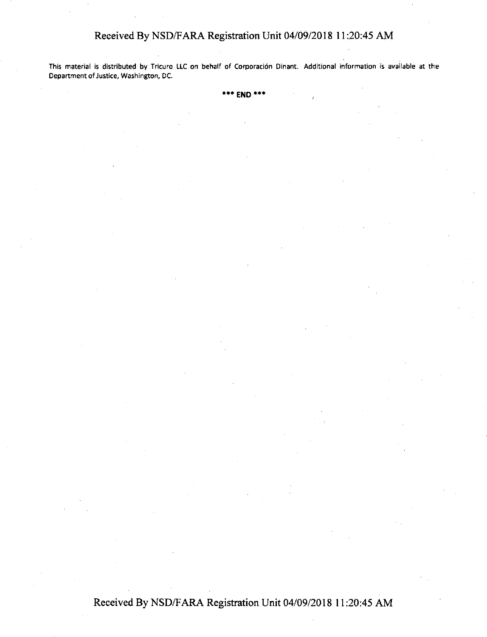# Received By NSD/F ARA Registration Unit 04/09/2018 11 :20:45 AM

This material is distributed **by** Tricuro LLC on behalf of Corporaci6n Dinant. Additional information is available at the Department of Justice, Washington, DC.

**\*\*\*END\*\*\*** 

Received By NSD/F ARA Registration Unit 04/09/2018 11 :20:45 AM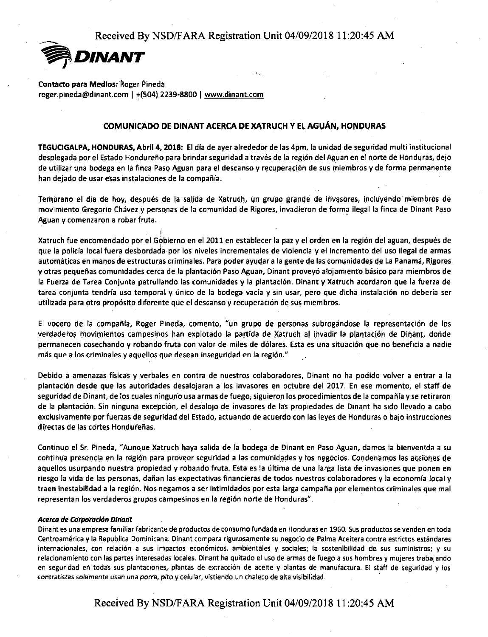

**Contacto para Medios: Roger Pineda** 

roger.pineda@dinant.com I **+(504)** 2239-8800 I www.dinant.com

### **COMUNICADO DE DINANT ACERCA DE XATRUCH Y EL AGUÁN, HONDURAS**

**TEGUCIGALPA, HONDURAS, Abril 4, 2018:** El dia de ayer alrededor de las 4pm, la unidad de seguridad multi institucional desplegada por el Estado Hondureño para brindar seguridad a través de la región del Aguan en el norte de Honduras, dejo de utilizar una bodega en la finca Paso Aguan para el descanso y recuperaci6n de sus rniembros y de forma permanente han dejado de usar esas instalaciones de la compañía.

Temprano el día de hoy, después de la salida de Xatruch, un grupo grande de invasores, incluyendo miembros de movimiento Gregorio Chávez y personas de la comunidad de Rigores, invadieron de forma ilegal la finca de Dinant Paso Aguan y comenzaron a robar fruta.

I Xatruch fue encomendado par el Gobierno en el 2011 en establecer la paz y el orden en la region del aguan, despues de ' que la policia local fuera desbordada par las niveles incrementales de violencia y el incremento del uso ilegal de armas automaticas en rnanos de estructuras criminales. Para poder ayudar a la gente de las comunidades de La Panama, Rigores y otras pequeñas comunidades cerca de la plantación Paso Aguan, Dinant proveyó alojamiento básico para miembros de la Fuerza de Tarea Conjunta patrullando las comunidades y la plantacion. Dinant y Xatruch acordaron que la fuerza de tarea conjunta tendría uso temporal y único de la bodega vacía y sin usar, pero que dicha instalación no debería ser utilizada para otro proposito diferente que el descanso y recuperacion de sus miembros.

El vocero de la compañía, Roger Pineda, comento, "un grupo de personas subrogándose la representación de los verdaderos rnovimientos campesinos han explotado la partida de Xatruch al invadir la plantacion de Dinant, donde permanecen cosechando y robando fruta con valor de miles de d61ares. Esta es una situacion que no beneficia a nadie más que a los criminales y aquellos que desean inseguridad en la región."

Debido a amenazas fisicas y verbales en contra de nuestros colaboradores, Dinant no ha podido volver a entrar a la plantacion desde que las autoridades desalojaran a las invasores en octubre del 2017. En ese momenta, el staff de seguridad de Dinant, de los cuales ninguno usa armas de fuego, siguieron los procedimientos de la compañía y se retiraron de la plantacion. Sin ninguna excepcion, el desalojo de invasores de las propiedades de Dinant ha sido llevado a cabo exclusivamente por fuerzas de seguridad del Estado, actuando de acuerdo con las leyes de Honduras o bajo instrucciones directas de las cortes Hondureñas.

Continua el Sr. Pineda, "Aunque Xatruch haya salida de la bodega de Dinant en Paso Aguan, damos la bienvenida a su continua presencia en la región para proveer seguridad a las comunidades y los negocios. Condenamos las acciones de aquellos usurpando nuestra propiedad y robando fruta. Esta es la última de una larga lista de invasiones que ponen en riesgo la vida de las personas, dañan las expectativas financieras de todos nuestros colaboradores y la economía local y traen inestabilidad a la región. Nos negamos a ser intimidados por esta larga campaña por elementos criminales que mal representan las verdaderos grupos campesinos en la region norte de Honduras".

#### *Acerca de Carpotati6n* **Dinarit**

**Dihaht es una empresa familiar fabricante de productos de consumo fundada en Hondura\_S en 1960. Sus productos se vende\_n en toda**  Centroamérica y la Republica Dominicana. Dinant compara rigurosamente su negocio de Palma Aceitera contra estrictos estándares **internacionales, con relaci6n a sus impactos econ6micos, ambientales y sociales; la sostenibilidad de sus suministros; y su**  relacionamiento con las partes interesadas locales. Dinant ha quitado el uso de armas de fuego a sus hombres y mujeres trabajando en seguridad en todas sus plantaciones, plantas de extracción de aceite y plantas de manufactura. El staff de seguridad y los **contratistas so/amente u:Sa'r', una po·rra, pita y celular, vistiendo un chaleco de alta visibilidad.**